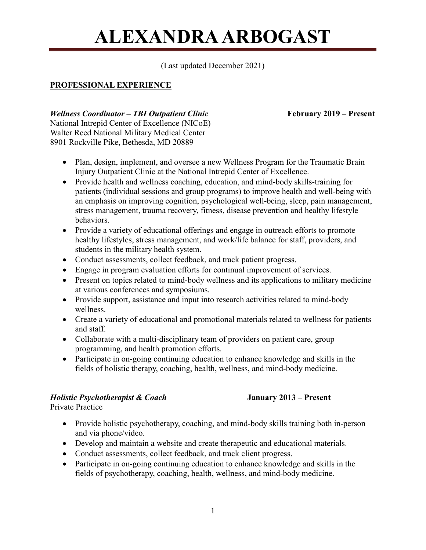(Last updated December 2021)

## **PROFESSIONAL EXPERIENCE**

### *Wellness Coordinator – TBI Outpatient Clinic* February 2019 – Present

National Intrepid Center of Excellence (NICoE) Walter Reed National Military Medical Center 8901 Rockville Pike, Bethesda, MD 20889

- Plan, design, implement, and oversee a new Wellness Program for the Traumatic Brain Injury Outpatient Clinic at the National Intrepid Center of Excellence.
- Provide health and wellness coaching, education, and mind-body skills-training for patients (individual sessions and group programs) to improve health and well-being with an emphasis on improving cognition, psychological well-being, sleep, pain management, stress management, trauma recovery, fitness, disease prevention and healthy lifestyle behaviors.
- Provide a variety of educational offerings and engage in outreach efforts to promote healthy lifestyles, stress management, and work/life balance for staff, providers, and students in the military health system.
- Conduct assessments, collect feedback, and track patient progress.
- Engage in program evaluation efforts for continual improvement of services.
- Present on topics related to mind-body wellness and its applications to military medicine at various conferences and symposiums.
- Provide support, assistance and input into research activities related to mind-body wellness.
- Create a variety of educational and promotional materials related to wellness for patients and staff.
- Collaborate with a multi-disciplinary team of providers on patient care, group programming, and health promotion efforts.
- Participate in on-going continuing education to enhance knowledge and skills in the fields of holistic therapy, coaching, health, wellness, and mind-body medicine.

## *Holistic Psychotherapist & Coach* **January 2013 – Present**

Private Practice

- Provide holistic psychotherapy, coaching, and mind-body skills training both in-person and via phone/video.
- Develop and maintain a website and create therapeutic and educational materials.
- Conduct assessments, collect feedback, and track client progress.
- Participate in on-going continuing education to enhance knowledge and skills in the fields of psychotherapy, coaching, health, wellness, and mind-body medicine.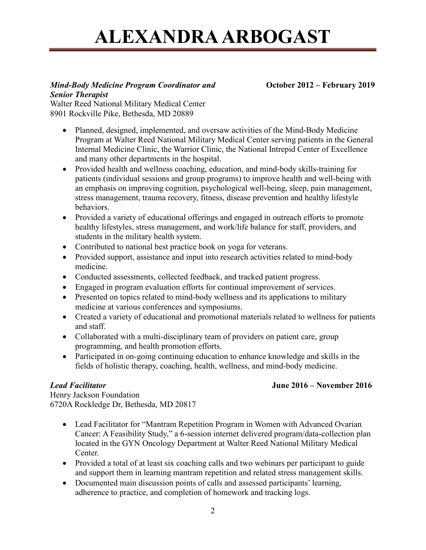#### *Mind-Body Medicine Program Coordinator and* **October 2012 – February 2019** *Senior Therapist*

Walter Reed National Military Medical Center 8901 Rockville Pike, Bethesda, MD 20889

- Planned, designed, implemented, and oversaw activities of the Mind-Body Medicine Program at Walter Reed National Military Medical Center serving patients in the General Internal Medicine Clinic, the Warrior Clinic, the National Intrepid Center of Excellence and many other departments in the hospital.
- Provided health and wellness coaching, education, and mind-body skills-training for patients (individual sessions and group programs) to improve health and well-being with an emphasis on improving cognition, psychological well-being, sleep, pain management, stress management, trauma recovery, fitness, disease prevention and healthy lifestyle behaviors.
- Provided a variety of educational offerings and engaged in outreach efforts to promote healthy lifestyles, stress management, and work/life balance for staff, providers, and students in the military health system.
- Contributed to national best practice book on yoga for veterans.
- Provided support, assistance and input into research activities related to mind-body medicine.
- Conducted assessments, collected feedback, and tracked patient progress.
- Engaged in program evaluation efforts for continual improvement of services.
- Presented on topics related to mind-body wellness and its applications to military medicine at various conferences and symposiums.
- Created a variety of educational and promotional materials related to wellness for patients and staff.
- Collaborated with a multi-disciplinary team of providers on patient care, group programming, and health promotion efforts.
- Participated in on-going continuing education to enhance knowledge and skills in the fields of holistic therapy, coaching, health, wellness, and mind-body medicine.

## *Lead Facilitator* **June 2016 – November 2016**

Henry Jackson Foundation 6720A Rockledge Dr, Bethesda, MD 20817

- Lead Facilitator for "Mantram Repetition Program in Women with Advanced Ovarian Cancer: A Feasibility Study," a 6-session internet delivered program/data-collection plan located in the GYN Oncology Department at Walter Reed National Military Medical Center.
- Provided a total of at least six coaching calls and two webinars per participant to guide and support them in learning mantram repetition and related stress management skills.
- Documented main discussion points of calls and assessed participants' learning, adherence to practice, and completion of homework and tracking logs.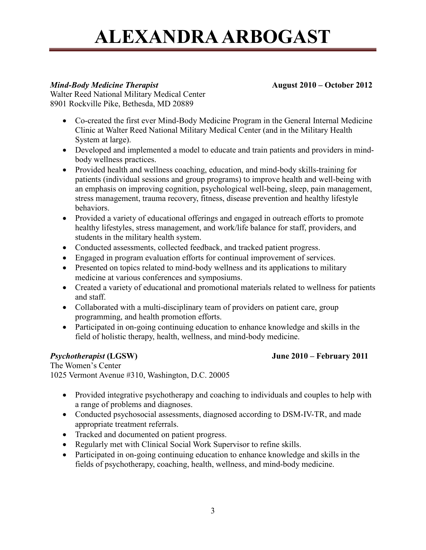### *Mind-Body Medicine Therapist* **August 2010 – October 2012**

Walter Reed National Military Medical Center 8901 Rockville Pike, Bethesda, MD 20889

- Co-created the first ever Mind-Body Medicine Program in the General Internal Medicine Clinic at Walter Reed National Military Medical Center (and in the Military Health System at large).
- Developed and implemented a model to educate and train patients and providers in mindbody wellness practices.
- Provided health and wellness coaching, education, and mind-body skills-training for patients (individual sessions and group programs) to improve health and well-being with an emphasis on improving cognition, psychological well-being, sleep, pain management, stress management, trauma recovery, fitness, disease prevention and healthy lifestyle behaviors.
- Provided a variety of educational offerings and engaged in outreach efforts to promote healthy lifestyles, stress management, and work/life balance for staff, providers, and students in the military health system.
- Conducted assessments, collected feedback, and tracked patient progress.
- Engaged in program evaluation efforts for continual improvement of services.
- Presented on topics related to mind-body wellness and its applications to military medicine at various conferences and symposiums.
- Created a variety of educational and promotional materials related to wellness for patients and staff.
- Collaborated with a multi-disciplinary team of providers on patient care, group programming, and health promotion efforts.
- Participated in on-going continuing education to enhance knowledge and skills in the field of holistic therapy, health, wellness, and mind-body medicine.

### *Psychotherapist* **(LGSW) June 2010 – February 2011**

The Women's Center 1025 Vermont Avenue #310, Washington, D.C. 20005

- Provided integrative psychotherapy and coaching to individuals and couples to help with a range of problems and diagnoses.
- Conducted psychosocial assessments, diagnosed according to DSM-IV-TR, and made appropriate treatment referrals.
- Tracked and documented on patient progress.
- Regularly met with Clinical Social Work Supervisor to refine skills.
- Participated in on-going continuing education to enhance knowledge and skills in the fields of psychotherapy, coaching, health, wellness, and mind-body medicine.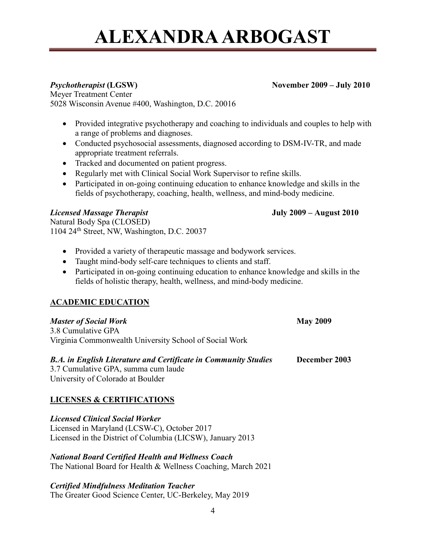Meyer Treatment Center 5028 Wisconsin Avenue #400, Washington, D.C. 20016

- Provided integrative psychotherapy and coaching to individuals and couples to help with a range of problems and diagnoses.
- Conducted psychosocial assessments, diagnosed according to DSM-IV-TR, and made appropriate treatment referrals.
- Tracked and documented on patient progress.
- Regularly met with Clinical Social Work Supervisor to refine skills.
- Participated in on-going continuing education to enhance knowledge and skills in the fields of psychotherapy, coaching, health, wellness, and mind-body medicine.

## *Licensed Massage Therapist* **July 2009 – August 2010**

Natural Body Spa (CLOSED) 1104 24<sup>th</sup> Street, NW, Washington, D.C. 20037

- Provided a variety of therapeutic massage and bodywork services.
- Taught mind-body self-care techniques to clients and staff.
- Participated in on-going continuing education to enhance knowledge and skills in the fields of holistic therapy, health, wellness, and mind-body medicine.

# **ACADEMIC EDUCATION**

| <b>Master of Social Work</b>                           | <b>May 2009</b> |
|--------------------------------------------------------|-----------------|
| 3.8 Cumulative GPA                                     |                 |
| Virginia Commonwealth University School of Social Work |                 |
|                                                        |                 |

# *B.A. in English Literature and Certificate in Community Studies* **December 2003** 3.7 Cumulative GPA, summa cum laude

University of Colorado at Boulder

# **LICENSES & CERTIFICATIONS**

*Licensed Clinical Social Worker*  Licensed in Maryland (LCSW-C), October 2017 Licensed in the District of Columbia (LICSW), January 2013

# *National Board Certified Health and Wellness Coach*

The National Board for Health & Wellness Coaching, March 2021

### *Certified Mindfulness Meditation Teacher*

The Greater Good Science Center, UC-Berkeley, May 2019

## *Psychotherapist* (LGSW) November 2009 – **July 2010**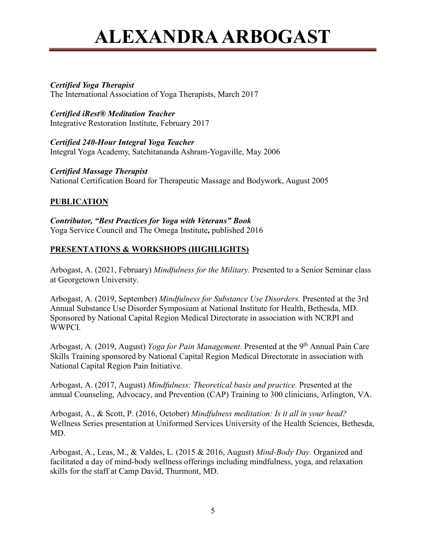### *Certified Yoga Therapist*

The International Association of Yoga Therapists, March 2017

*Certified iRest® Meditation Teacher* Integrative Restoration Institute, February 2017

*Certified 240-Hour Integral Yoga Teacher*  Integral Yoga Academy, Satchitananda Ashram-Yogaville, May 2006

*Certified Massage Therapist*  National Certification Board for Therapeutic Massage and Bodywork, August 2005

## **PUBLICATION**

*Contributor, "Best Practices for Yoga with Veterans" Book* Yoga Service Council and The Omega Institute**,** published 2016

## **PRESENTATIONS & WORKSHOPS (HIGHLIGHTS)**

Arbogast, A. (2021, February) *Mindfulness for the Military.* Presented to a Senior Seminar class at Georgetown University.

Arbogast, A. (2019, September) *Mindfulness for Substance Use Disorders.* Presented at the 3rd Annual Substance Use Disorder Symposium at National Institute for Health, Bethesda, MD. Sponsored by National Capital Region Medical Directorate in association with NCRPI and WWPCI.

Arbogast, A. (2019, August) *Yoga for Pain Management*. Presented at the 9<sup>th</sup> Annual Pain Care Skills Training sponsored by National Capital Region Medical Directorate in association with National Capital Region Pain Initiative.

Arbogast, A. (2017, August) *Mindfulness: Theoretical basis and practice.* Presented at the annual Counseling, Advocacy, and Prevention (CAP) Training to 300 clinicians, Arlington, VA.

Arbogast, A., & Scott, P. (2016, October) *Mindfulness meditation: Is it all in your head?* Wellness Series presentation at Uniformed Services University of the Health Sciences, Bethesda, MD.

Arbogast, A., Leas, M., & Valdes, L. (2015 & 2016, August) *Mind-Body Day.* Organized and facilitated a day of mind-body wellness offerings including mindfulness, yoga, and relaxation skills for the staff at Camp David, Thurmont, MD.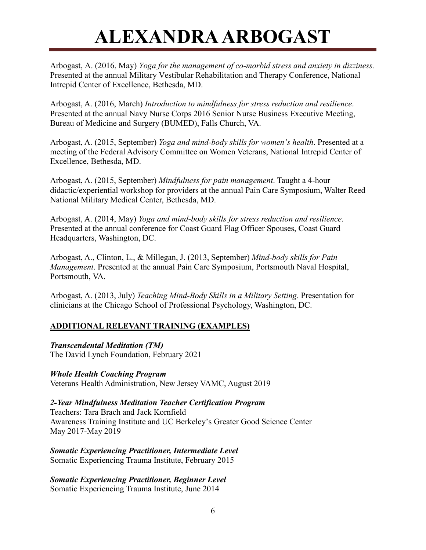Arbogast, A. (2016, May) *Yoga for the management of co-morbid stress and anxiety in dizziness.* Presented at the annual Military Vestibular Rehabilitation and Therapy Conference, National Intrepid Center of Excellence, Bethesda, MD.

Arbogast, A. (2016, March) *Introduction to mindfulness for stress reduction and resilience*. Presented at the annual Navy Nurse Corps 2016 Senior Nurse Business Executive Meeting, Bureau of Medicine and Surgery (BUMED), Falls Church, VA.

Arbogast, A. (2015, September) *Yoga and mind-body skills for women's health*. Presented at a meeting of the Federal Advisory Committee on Women Veterans, National Intrepid Center of Excellence, Bethesda, MD.

Arbogast, A. (2015, September) *Mindfulness for pain management*. Taught a 4-hour didactic/experiential workshop for providers at the annual Pain Care Symposium, Walter Reed National Military Medical Center, Bethesda, MD.

Arbogast, A. (2014, May) *Yoga and mind-body skills for stress reduction and resilience*. Presented at the annual conference for Coast Guard Flag Officer Spouses, Coast Guard Headquarters, Washington, DC.

Arbogast, A., Clinton, L., & Millegan, J. (2013, September) *Mind-body skills for Pain Management*. Presented at the annual Pain Care Symposium, Portsmouth Naval Hospital, Portsmouth, VA.

Arbogast, A. (2013, July) *Teaching Mind-Body Skills in a Military Setting*. Presentation for clinicians at the Chicago School of Professional Psychology, Washington, DC.

# **ADDITIONAL RELEVANT TRAINING (EXAMPLES)**

## *Transcendental Meditation (TM)*

The David Lynch Foundation, February 2021

## *Whole Health Coaching Program*

Veterans Health Administration, New Jersey VAMC, August 2019

# *2-Year Mindfulness Meditation Teacher Certification Program*

Teachers: Tara Brach and Jack Kornfield Awareness Training Institute and UC Berkeley's Greater Good Science Center May 2017-May 2019

*Somatic Experiencing Practitioner, Intermediate Level* Somatic Experiencing Trauma Institute, February 2015

*Somatic Experiencing Practitioner, Beginner Level* Somatic Experiencing Trauma Institute, June 2014